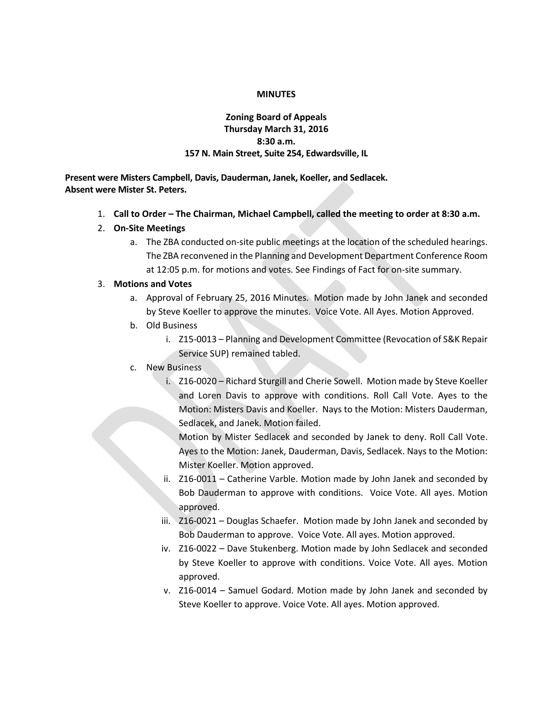#### **MINUTES**

## **Zoning Board of Appeals Thursday March 31, 2016 8:30 a.m. 157 N. Main Street, Suite 254, Edwardsville, IL**

**Present were Misters Campbell, Davis, Dauderman, Janek, Koeller, and Sedlacek. Absent were Mister St. Peters.**

- 1. **Call to Order – The Chairman, Michael Campbell, called the meeting to order at 8:30 a.m.**
- 2. **On-Site Meetings**
	- a. The ZBA conducted on-site public meetings at the location of the scheduled hearings. The ZBA reconvened in the Planning and Development Department Conference Room at 12:05 p.m. for motions and votes. See Findings of Fact for on-site summary.

### 3. **Motions and Votes**

- a. Approval of February 25, 2016 Minutes. Motion made by John Janek and seconded by Steve Koeller to approve the minutes. Voice Vote. All Ayes. Motion Approved.
- b. Old Business
	- i. Z15-0013 Planning and Development Committee (Revocation of S&K Repair Service SUP) remained tabled.
- c. New Business
	- i. Z16-0020 Richard Sturgill and Cherie Sowell. Motion made by Steve Koeller and Loren Davis to approve with conditions. Roll Call Vote. Ayes to the Motion: Misters Davis and Koeller. Nays to the Motion: Misters Dauderman, Sedlacek, and Janek. Motion failed.

Motion by Mister Sedlacek and seconded by Janek to deny. Roll Call Vote. Ayes to the Motion: Janek, Dauderman, Davis, Sedlacek. Nays to the Motion: Mister Koeller. Motion approved.

- ii. Z16-0011 Catherine Varble. Motion made by John Janek and seconded by Bob Dauderman to approve with conditions. Voice Vote. All ayes. Motion approved.
- iii. Z16-0021 Douglas Schaefer. Motion made by John Janek and seconded by Bob Dauderman to approve. Voice Vote. All ayes. Motion approved.
- iv. Z16-0022 Dave Stukenberg. Motion made by John Sedlacek and seconded by Steve Koeller to approve with conditions. Voice Vote. All ayes. Motion approved.
- v. Z16-0014 Samuel Godard. Motion made by John Janek and seconded by Steve Koeller to approve. Voice Vote. All ayes. Motion approved.